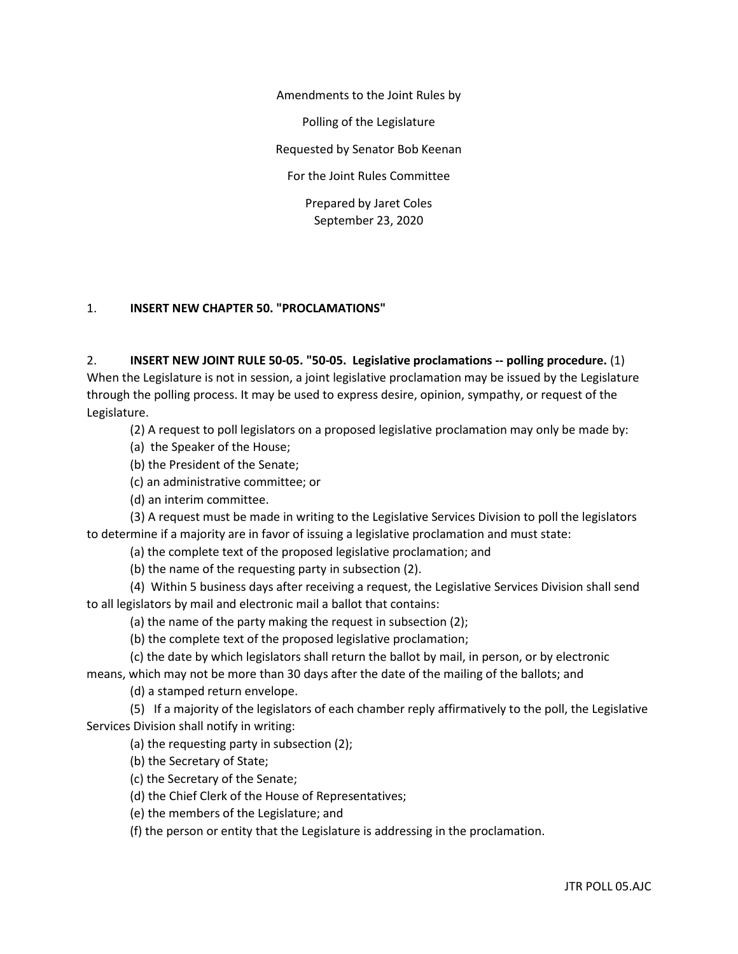Amendments to the Joint Rules by

Polling of the Legislature

Requested by Senator Bob Keenan

For the Joint Rules Committee

Prepared by Jaret Coles September 23, 2020

## 1. **INSERT NEW CHAPTER 50. "PROCLAMATIONS"**

2. **INSERT NEW JOINT RULE 50-05. "50-05. Legislative proclamations -- polling procedure.** (1) When the Legislature is not in session, a joint legislative proclamation may be issued by the Legislature through the polling process. It may be used to express desire, opinion, sympathy, or request of the Legislature.

(2) A request to poll legislators on a proposed legislative proclamation may only be made by:

(a) the Speaker of the House;

(b) the President of the Senate;

(c) an administrative committee; or

(d) an interim committee.

(3) A request must be made in writing to the Legislative Services Division to poll the legislators to determine if a majority are in favor of issuing a legislative proclamation and must state:

(a) the complete text of the proposed legislative proclamation; and

(b) the name of the requesting party in subsection (2).

(4) Within 5 business days after receiving a request, the Legislative Services Division shall send to all legislators by mail and electronic mail a ballot that contains:

(a) the name of the party making the request in subsection (2);

(b) the complete text of the proposed legislative proclamation;

(c) the date by which legislators shall return the ballot by mail, in person, or by electronic

means, which may not be more than 30 days after the date of the mailing of the ballots; and (d) a stamped return envelope.

(5) If a majority of the legislators of each chamber reply affirmatively to the poll, the Legislative Services Division shall notify in writing:

(a) the requesting party in subsection (2);

(b) the Secretary of State;

(c) the Secretary of the Senate;

(d) the Chief Clerk of the House of Representatives;

(e) the members of the Legislature; and

(f) the person or entity that the Legislature is addressing in the proclamation.